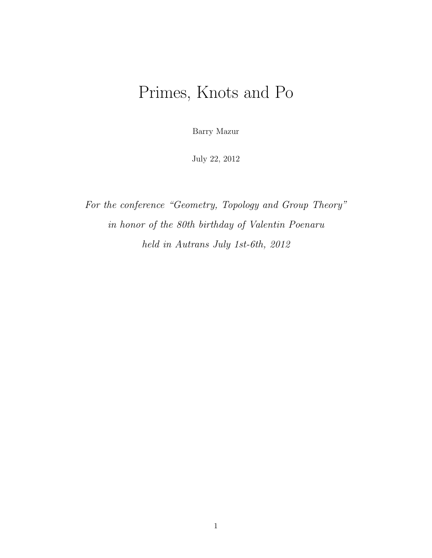# Primes, Knots and Po

Barry Mazur

July 22, 2012

For the conference "Geometry, Topology and Group Theory" in honor of the 80th birthday of Valentin Poenaru held in Autrans July 1st-6th, 2012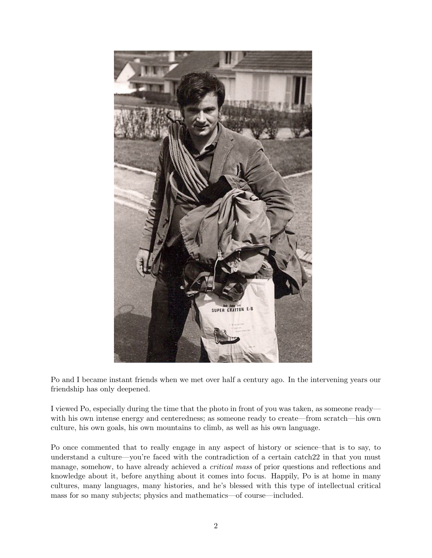

Po and I became instant friends when we met over half a century ago. In the intervening years our friendship has only deepened.

I viewed Po, especially during the time that the photo in front of you was taken, as someone ready with his own intense energy and centeredness; as someone ready to create—from scratch—his own culture, his own goals, his own mountains to climb, as well as his own language.

Po once commented that to really engage in any aspect of history or science–that is to say, to understand a culture—you're faced with the contradiction of a certain catch 22 in that you must manage, somehow, to have already achieved a *critical mass* of prior questions and reflections and knowledge about it, before anything about it comes into focus. Happily, Po is at home in many cultures, many languages, many histories, and he's blessed with this type of intellectual critical mass for so many subjects; physics and mathematics—of course—included.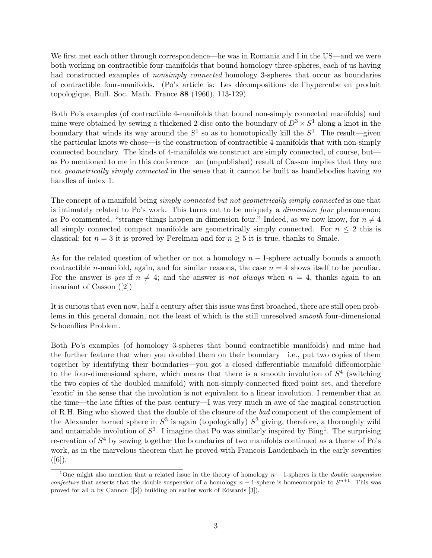We first met each other through correspondence—he was in Romania and I in the US—and we were both working on contractible four-manifolds that bound homology three-spheres, each of us having had constructed examples of *nonsimply connected* homology 3-spheres that occur as boundaries of contractible four-manifolds. (Po's article is: Les d´ecompositions de l'hypercube en produit topologique, Bull. Soc. Math. France 88 (1960), 113-129).

Both Po's examples (of contractible 4-manifolds that bound non-simply connected manifolds) and mine were obtained by sewing a thickened 2-disc onto the boundary of  $D^3 \times S^1$  along a knot in the boundary that winds its way around the  $S^1$  so as to homotopically kill the  $S^1$ . The result—given the particular knots we chose—is the construction of contractible 4-manifolds that with non-simply connected boundary. The kinds of 4-manifolds we construct are simply connected, of course, but as Po mentioned to me in this conference—an (unpublished) result of Casson implies that they are not *geometrically simply connected* in the sense that it cannot be built as handlebodies having no handles of index 1.

The concept of a manifold being *simply connected but not geometrically simply connected* is one that is intimately related to Po's work. This turns out to be uniquely a *dimension four* phenomenon; as Po commented, "strange things happen in dimension four." Indeed, as we now know, for  $n \neq 4$ all simply connected compact manifolds are geometrically simply connected. For  $n \leq 2$  this is classical; for  $n = 3$  it is proved by Perelman and for  $n \geq 5$  it is true, thanks to Smale.

As for the related question of whether or not a homology  $n-1$ -sphere actually bounds a smooth contractible *n*-manifold, again, and for similar reasons, the case  $n = 4$  shows itself to be peculiar. For the answer is yes if  $n \neq 4$ ; and the answer is not always when  $n = 4$ , thanks again to an invariant of Casson ([2])

It is curious that even now, half a century after this issue was first broached, there are still open problems in this general domain, not the least of which is the still unresolved smooth four-dimensional Schoenflies Problem.

Both Po's examples (of homology 3-spheres that bound contractible manifolds) and mine had the further feature that when you doubled them on their boundary—i.e., put two copies of them together by identifying their boundaries—you got a closed differentiable manifold diffeomorphic to the four-dimensional sphere, which means that there is a smooth involution of  $S<sup>4</sup>$  (switching the two copies of the doubled manifold) with non-simply-connected fixed point set, and therefore 'exotic' in the sense that the involution is not equivalent to a linear involution. I remember that at the time—the late fifties of the past century—I was very much in awe of the magical construction of R.H. Bing who showed that the double of the closure of the bad component of the complement of the Alexander horned sphere in  $S^3$  is again (topologically)  $S^3$  giving, therefore, a thoroughly wild and untamable involution of  $S^3$ . I imagine that Po was similarly inspired by Bing<sup>1</sup>. The surprising re-creation of  $S^4$  by sewing together the boundaries of two manifolds continued as a theme of Po's work, as in the marvelous theorem that he proved with Francois Laudenbach in the early seventies  $([6])$ .

<sup>&</sup>lt;sup>1</sup>One might also mention that a related issue in the theory of homology  $n-1$ -spheres is the *double suspension* conjecture that asserts that the double suspension of a homology  $n-1$ -sphere is homeomorphic to  $S^{n+1}$ . This was proved for all n by Cannon ([2]) building on earlier work of Edwards [3]).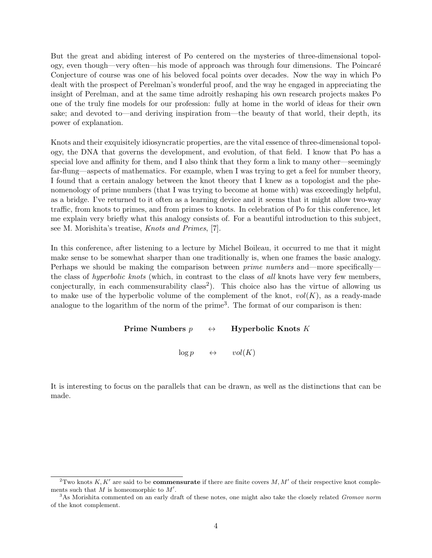But the great and abiding interest of Po centered on the mysteries of three-dimensional topology, even though—very often—his mode of approach was through four dimensions. The Poincar´e Conjecture of course was one of his beloved focal points over decades. Now the way in which Po dealt with the prospect of Perelman's wonderful proof, and the way he engaged in appreciating the insight of Perelman, and at the same time adroitly reshaping his own research projects makes Po one of the truly fine models for our profession: fully at home in the world of ideas for their own sake; and devoted to—and deriving inspiration from—the beauty of that world, their depth, its power of explanation.

Knots and their exquisitely idiosyncratic properties, are the vital essence of three-dimensional topology, the DNA that governs the development, and evolution, of that field. I know that Po has a special love and affinity for them, and I also think that they form a link to many other—seemingly far-flung—aspects of mathematics. For example, when I was trying to get a feel for number theory, I found that a certain analogy between the knot theory that I knew as a topologist and the phenomenology of prime numbers (that I was trying to become at home with) was exceedingly helpful, as a bridge. I've returned to it often as a learning device and it seems that it might allow two-way traffic, from knots to primes, and from primes to knots. In celebration of Po for this conference, let me explain very briefly what this analogy consists of. For a beautiful introduction to this subject, see M. Morishita's treatise, Knots and Primes, [7].

In this conference, after listening to a lecture by Michel Boileau, it occurred to me that it might make sense to be somewhat sharper than one traditionally is, when one frames the basic analogy. Perhaps we should be making the comparison between *prime numbers* and—more specifically the class of hyperbolic knots (which, in contrast to the class of all knots have very few members, conjecturally, in each commensurability class<sup>2</sup>). This choice also has the virtue of allowing us to make use of the hyperbolic volume of the complement of the knot,  $vol(K)$ , as a ready-made analogue to the logarithm of the norm of the prime<sup>3</sup>. The format of our comparison is then:

#### Prime Numbers  $p \leftrightarrow$  Hyperbolic Knots K

 $\log p \qquad \leftrightarrow \qquad vol(K)$ 

It is interesting to focus on the parallels that can be drawn, as well as the distinctions that can be made.

<sup>&</sup>lt;sup>2</sup>Two knots K, K' are said to be **commensurate** if there are finite covers M, M' of their respective knot complements such that M is homeomorphic to  $M'$ .

<sup>&</sup>lt;sup>3</sup>As Morishita commented on an early draft of these notes, one might also take the closely related *Gromov norm* of the knot complement.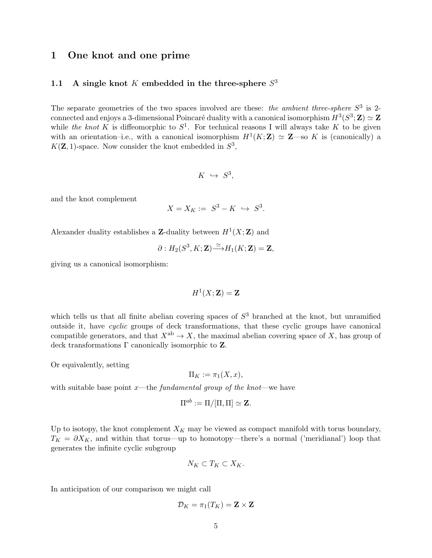## 1 One knot and one prime

## 1.1 A single knot K embedded in the three-sphere  $S<sup>3</sup>$

The separate geometries of the two spaces involved are these: the ambient three-sphere  $S^3$  is 2connected and enjoys a 3-dimensional Poincaré duality with a canonical isomorphism  $H^3(S^3; \mathbf{Z}) \simeq \mathbf{Z}$ while the knot K is diffeomorphic to  $S^1$ . For technical reasons I will always take K to be given with an orientation-i.e., with a canonical isomorphism  $H^1(K;\mathbf{Z}) \simeq \mathbf{Z}$ —so K is (canonically) a  $K(\mathbf{Z}, 1)$ -space. Now consider the knot embedded in  $S^3$ ,

$$
K \ \hookrightarrow \ S^3,
$$

and the knot complement

$$
X = X_K := S^3 - K \hookrightarrow S^3.
$$

Alexander duality establishes a Z-duality between  $H^1(X; \mathbf{Z})$  and

$$
\partial: H_2(S^3, K; \mathbf{Z}) \tilde{\longrightarrow} H_1(K; \mathbf{Z}) = \mathbf{Z},
$$

giving us a canonical isomorphism:

$$
H^1(X; \mathbf{Z}) = \mathbf{Z}
$$

which tells us that all finite abelian covering spaces of  $S<sup>3</sup>$  branched at the knot, but unramified outside it, have cyclic groups of deck transformations, that these cyclic groups have canonical compatible generators, and that  $X^{ab} \to X$ , the maximal abelian covering space of X, has group of deck transformations  $\Gamma$  canonically isomorphic to  $\mathbf{Z}$ .

Or equivalently, setting

$$
\Pi_K := \pi_1(X, x),
$$

with suitable base point x—the *fundamental group of the knot*—we have

$$
\Pi^{ab} := \Pi/[\Pi, \Pi] \simeq \mathbf{Z}.
$$

Up to isotopy, the knot complement  $X_K$  may be viewed as compact manifold with torus boundary,  $T_K = \partial X_K$ , and within that torus—up to homotopy—there's a normal ('meridianal') loop that generates the infinite cyclic subgroup

$$
N_K\subset T_K\subset X_K.
$$

In anticipation of our comparison we might call

$$
\mathcal{D}_K = \pi_1(T_K) = \mathbf{Z} \times \mathbf{Z}
$$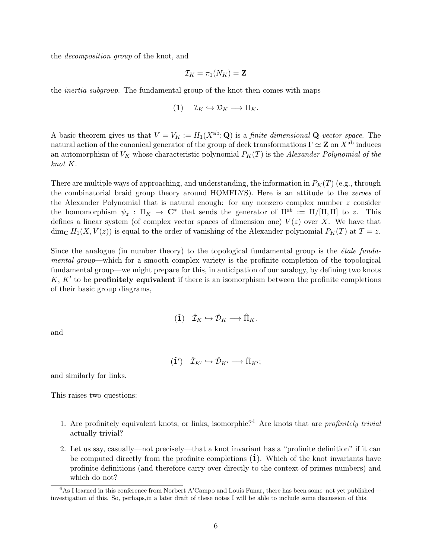the decomposition group of the knot, and

$$
\mathcal{I}_K = \pi_1(N_K) = \mathbf{Z}
$$

the inertia subgroup. The fundamental group of the knot then comes with maps

$$
(1) \t\mathcal{I}_K \hookrightarrow \mathcal{D}_K \longrightarrow \Pi_K.
$$

A basic theorem gives us that  $V = V_K := H_1(X^{ab}; \mathbf{Q})$  is a *finite dimensional* **Q**-vector space. The natural action of the canonical generator of the group of deck transformations  $\Gamma \simeq Z$  on  $X^{ab}$  induces an automorphism of  $V_K$  whose characteristic polynomial  $P_K(T)$  is the Alexander Polynomial of the knot K.

There are multiple ways of approaching, and understanding, the information in  $P_K(T)$  (e.g., through the combinatorial braid group theory around HOMFLYS). Here is an attitude to the zeroes of the Alexander Polynomial that is natural enough: for any nonzero complex number  $z$  consider the homomorphism  $\psi_z : \Pi_K \to \mathbb{C}^*$  that sends the generator of  $\Pi^{ab} := \Pi/[\Pi, \Pi]$  to z. This defines a linear system (of complex vector spaces of dimension one)  $V(z)$  over X. We have that dim<sub>C</sub>  $H_1(X, V(z))$  is equal to the order of vanishing of the Alexander polynomial  $P_K(T)$  at  $T = z$ .

Since the analogue (in number theory) to the topological fundamental group is the  $\acute{e}tale$  fundamental group—which for a smooth complex variety is the profinite completion of the topological fundamental group—we might prepare for this, in anticipation of our analogy, by defining two knots  $K, K'$  to be **profinitely equivalent** if there is an isomorphism between the profinite completions of their basic group diagrams,

$$
(\mathbf{\hat{1}})\quad \hat{\mathcal{I}}_K \hookrightarrow \hat{\mathcal{D}}_K \longrightarrow \hat{\Pi}_K.
$$

and

$$
(\hat{\mathbf{1}}') \quad \hat{\mathcal{I}}_{K'} \hookrightarrow \hat{\mathcal{D}}_{K'} \longrightarrow \hat{\Pi}_{K'};
$$

and similarly for links.

This raises two questions:

- 1. Are profinitely equivalent knots, or links, isomorphic?<sup>4</sup> Are knots that are *profinitely trivial* actually trivial?
- 2. Let us say, casually—not precisely—that a knot invariant has a "profinite definition" if it can be computed directly from the profinite completions  $(1)$ . Which of the knot invariants have profinite definitions (and therefore carry over directly to the context of primes numbers) and which do not?

<sup>4</sup>As I learned in this conference from Norbert A'Campo and Louis Funar, there has been some–not yet published investigation of this. So, perhaps,in a later draft of these notes I will be able to include some discussion of this.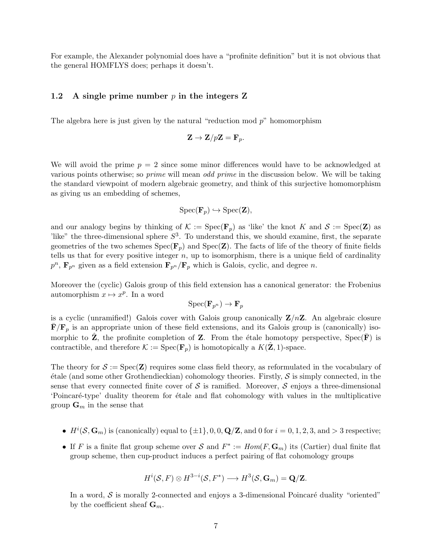For example, the Alexander polynomial does have a "profinite definition" but it is not obvious that the general HOMFLYS does; perhaps it doesn't.

#### 1.2 A single prime number  $p$  in the integers Z

The algebra here is just given by the natural "reduction mod  $p$ " homomorphism

$$
\mathbf{Z} \to \mathbf{Z}/p\mathbf{Z} = \mathbf{F}_p.
$$

We will avoid the prime  $p = 2$  since some minor differences would have to be acknowledged at various points otherwise; so prime will mean odd prime in the discussion below. We will be taking the standard viewpoint of modern algebraic geometry, and think of this surjective homomorphism as giving us an embedding of schemes,

$$
Spec(\mathbf{F}_p) \hookrightarrow Spec(\mathbf{Z}),
$$

and our analogy begins by thinking of  $\mathcal{K} := \text{Spec}(\mathbf{F}_p)$  as 'like' the knot K and  $\mathcal{S} := \text{Spec}(\mathbf{Z})$  as like" the three-dimensional sphere  $S^3$ . To understand this, we should examine, first, the separate geometries of the two schemes  $Spec(\mathbf{F}_p)$  and  $Spec(\mathbf{Z})$ . The facts of life of the theory of finite fields tells us that for every positive integer  $n$ , up to isomorphism, there is a unique field of cardinality  $p^n$ ,  $\mathbf{F}_{p^n}$  given as a field extension  $\mathbf{F}_{p^n}/\mathbf{F}_p$  which is Galois, cyclic, and degree n.

Moreover the (cyclic) Galois group of this field extension has a canonical generator: the Frobenius automorphism  $x \mapsto x^p$ . In a word

$$
\mathrm{Spec}(\mathbf{F}_{p^n}) \to \mathbf{F}_p
$$

is a cyclic (unramified!) Galois cover with Galois group canonically  $Z/nZ$ . An algebraic closure  $\mathbf{F}/\mathbf{F}_p$  is an appropriate union of these field extensions, and its Galois group is (canonically) isomorphic to  $\hat{\mathbf{Z}}$ , the profinite completion of  $\mathbf{Z}$ . From the étale homotopy perspective, Spec( $\bar{\mathbf{F}}$ ) is contractible, and therefore  $\mathcal{K} := \text{Spec}(\mathbf{F}_p)$  is homotopically a  $K(\mathbf{Z}, 1)$ -space.

The theory for  $S := \text{Spec}(\mathbf{Z})$  requires some class field theory, as reformulated in the vocabulary of  $\acute{e}$ tale (and some other Grothendieckian) cohomology theories. Firstly,  $\mathcal{S}$  is simply connected, in the sense that every connected finite cover of  $\mathcal S$  is ramified. Moreover,  $\mathcal S$  enjoys a three-dimensional 'Poincar´e-type' duality theorem for ´etale and flat cohomology with values in the multiplicative group  $\mathbf{G}_m$  in the sense that

- $H^i(\mathcal{S}, \mathbf{G}_m)$  is (canonically) equal to  $\{\pm 1\}$ , 0, 0,  $\mathbf{Q}/\mathbf{Z}$ , and 0 for  $i = 0, 1, 2, 3$ , and  $> 3$  respective;
- If F is a finite flat group scheme over S and  $F^* := Hom(F, \mathbf{G}_m)$  its (Cartier) dual finite flat group scheme, then cup-product induces a perfect pairing of flat cohomology groups

$$
H^i(\mathcal{S}, F) \otimes H^{3-i}(\mathcal{S}, F^*) \longrightarrow H^3(\mathcal{S}, \mathbf{G}_m) = \mathbf{Q}/\mathbf{Z}.
$$

In a word,  $S$  is morally 2-connected and enjoys a 3-dimensional Poincaré duality "oriented" by the coefficient sheaf  $\mathbf{G}_m$ .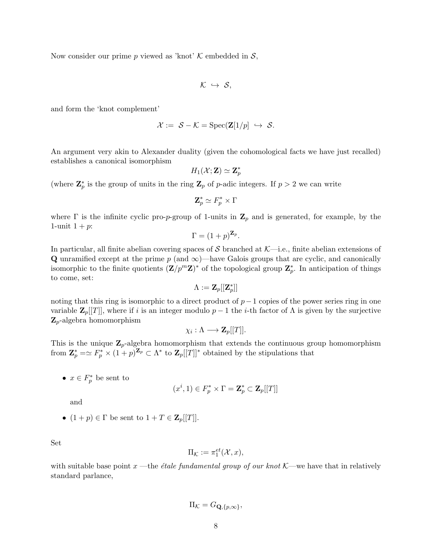Now consider our prime p viewed as 'knot'  $\mathcal K$  embedded in  $\mathcal S$ ,

$$
\mathcal{K} \ \hookrightarrow \ \mathcal{S},
$$

and form the 'knot complement'

$$
\mathcal{X} := \mathcal{S} - \mathcal{K} = \text{Spec}(\mathbf{Z}[1/p] \ \hookrightarrow \ \mathcal{S}.
$$

An argument very akin to Alexander duality (given the cohomological facts we have just recalled) establishes a canonical isomorphism

$$
H_1(\mathcal{X};\mathbf{Z})\simeq \mathbf{Z}_p^*
$$

(where  $\mathbf{Z}_p^*$  is the group of units in the ring  $\mathbf{Z}_p$  of p-adic integers. If  $p > 2$  we can write

$$
\mathbf{Z}_p^* \simeq F_p^* \times \Gamma
$$

where  $\Gamma$  is the infinite cyclic pro-p-group of 1-units in  $\mathbb{Z}_p$  and is generated, for example, by the 1-unit  $1 + p$ :

$$
\Gamma = (1+p)^{\mathbf{Z}_p}.
$$

In particular, all finite abelian covering spaces of S branched at  $\mathcal{K}$ —i.e., finite abelian extensions of Q unramified except at the prime  $p$  (and  $\infty$ )—have Galois groups that are cyclic, and canonically isomorphic to the finite quotients  $(\mathbf{Z}/p^m\mathbf{Z})^*$  of the topological group  $\mathbf{Z}_p^*$ . In anticipation of things to come, set:

$$
\Lambda := \mathbf{Z}_p[[\mathbf{Z}_p^*]]
$$

noting that this ring is isomorphic to a direct product of  $p-1$  copies of the power series ring in one variable  $\mathbf{Z}_p[[T]]$ , where if i is an integer modulo  $p-1$  the i-th factor of  $\Lambda$  is given by the surjective  $\mathbf{Z}_p$ -algebra homomorphism

$$
\chi_i:\Lambda\longrightarrow \mathbf{Z}_p[[T]].
$$

This is the unique  $\mathbb{Z}_p$ -algebra homomorphism that extends the continuous group homomorphism from  $\mathbf{Z}_p^* = \simeq F_p^* \times (1+p)^{\mathbf{Z}_p} \subset \Lambda^*$  to  $\mathbf{Z}_p[[T]]^*$  obtained by the stipulations that

•  $x \in F_p^*$  be sent to

$$
(x^i, 1) \in F_p^* \times \Gamma = \mathbf{Z}_p^* \subset \mathbf{Z}_p[[T]]
$$

and

•  $(1+p) \in \Gamma$  be sent to  $1+T \in \mathbf{Z}_p[[T]]$ .

Set

$$
\Pi_{\mathcal{K}} := \pi_1^{et}(\mathcal{X}, x),
$$

with suitable base point x —the *étale fundamental group of our knot*  $K$ —we have that in relatively standard parlance,

$$
\Pi_{\mathcal{K}} = G_{\mathbf{Q}, \{p,\infty\}},
$$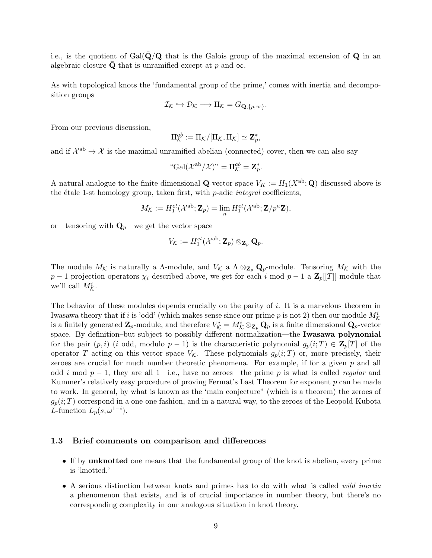i.e., is the quotient of  $Gal(Q/Q)$  that is the Galois group of the maximal extension of Q in an algebraic closure Q that is unramified except at p and  $\infty$ .

As with topological knots the 'fundamental group of the prime,' comes with inertia and decomposition groups

$$
\mathcal{I}_{\mathcal{K}} \hookrightarrow \mathcal{D}_{\mathcal{K}} \longrightarrow \Pi_{\mathcal{K}} = G_{\mathbf{Q}, \{p,\infty\}}.
$$

From our previous discussion,

$$
\Pi_{\mathcal{K}}^{ab}:=\Pi_{\mathcal{K}}/[\Pi_{\mathcal{K}},\Pi_{\mathcal{K}}]\simeq \mathbf{Z}_p^*,
$$

and if  $\mathcal{X}^{ab} \to \mathcal{X}$  is the maximal unramified abelian (connected) cover, then we can also say

"Gal
$$
(\mathcal{X}^{ab}/\mathcal{X})
$$
" =  $\Pi_{\mathcal{K}}^{ab} = \mathbf{Z}_{p}^{*}$ .

A natural analogue to the finite dimensional **Q**-vector space  $V_K := H_1(X^{ab}; \mathbf{Q})$  discussed above is the étale 1-st homology group, taken first, with  $p$ -adic *integral* coefficients,

$$
M_{\mathcal{K}} := H_1^{et}(\mathcal{X}^{\text{ab}}; \mathbf{Z}_p) = \lim_{n} H_1^{et}(\mathcal{X}^{\text{ab}}; \mathbf{Z}/p^n \mathbf{Z}),
$$

or—tensoring with  $\mathbf{Q}_p$ —we get the vector space

$$
V_{\mathcal{K}}:=H_1^{et}(\mathcal{X}^{\text{ab}};\mathbf{Z}_p)\otimes_{\mathbf{Z}_p}\mathbf{Q}_p.
$$

The module  $M_{\mathcal{K}}$  is naturally a  $\Lambda$ -module, and  $V_{\mathcal{K}}$  a  $\Lambda \otimes_{\mathbf{Z}_p} \mathbf{Q}_p$ -module. Tensoring  $M_{\mathcal{K}}$  with the  $p-1$  projection operators  $\chi_i$  described above, we get for each i mod  $p-1$  a  $\mathbf{Z}_p[[T]]$ -module that we'll call  $M_{\mathcal{K}}^i$ .

The behavior of these modules depends crucially on the parity of i. It is a marvelous theorem in Iwasawa theory that if i is 'odd' (which makes sense since our prime p is not 2) then our module  $M_{\mathcal{K}}^i$ is a finitely generated  $\mathbf{Z}_p$ -module, and therefore  $V^i_{\mathcal{K}} = M^i_{\mathcal{K}} \otimes_{\mathbf{Z}_p} \mathbf{Q}_p$  is a finite dimensional  $\mathbf{Q}_p$ -vector space. By definition–but subject to possibly different normalization—the Iwasawa polynomial for the pair  $(p, i)$  (i odd, modulo  $p - 1$ ) is the characteristic polynomial  $g_p(i; T) \in \mathbb{Z}_p[T]$  of the operator T acting on this vector space  $V_{\mathcal{K}}$ . These polynomials  $g_p(i;T)$  or, more precisely, their zeroes are crucial for much number theoretic phenomena. For example, if for a given  $p$  and all odd i mod  $p-1$ , they are all 1—i.e., have no zeroes—the prime p is what is called regular and Kummer's relatively easy procedure of proving Fermat's Last Theorem for exponent  $p$  can be made to work. In general, by what is known as the 'main conjecture" (which is a theorem) the zeroes of  $g_p(i;T)$  correspond in a one-one fashion, and in a natural way, to the zeroes of the Leopold-Kubota L-function  $L_p(s, \omega^{1-i})$ .

#### 1.3 Brief comments on comparison and differences

- If by unknotted one means that the fundamental group of the knot is abelian, every prime is 'knotted.'
- A serious distinction between knots and primes has to do with what is called *wild inertia* a phenomenon that exists, and is of crucial importance in number theory, but there's no corresponding complexity in our analogous situation in knot theory.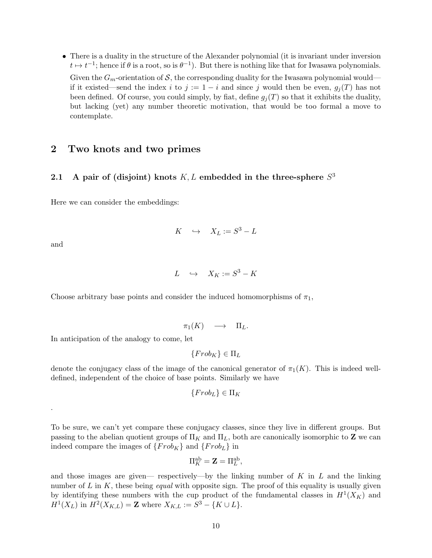• There is a duality in the structure of the Alexander polynomial (it is invariant under inversion  $t \mapsto t^{-1}$ ; hence if  $\theta$  is a root, so is  $\theta^{-1}$ ). But there is nothing like that for Iwasawa polynomials. Given the  $G_m$ -orientation of S, the corresponding duality for the Iwasawa polynomial would if it existed—send the index i to  $j := 1 - i$  and since j would then be even,  $g_i(T)$  has not been defined. Of course, you could simply, by fiat, define  $g_i(T)$  so that it exhibits the duality, but lacking (yet) any number theoretic motivation, that would be too formal a move to contemplate.

## 2 Two knots and two primes

## 2.1 A pair of (disjoint) knots  $K, L$  embedded in the three-sphere  $S<sup>3</sup>$

Here we can consider the embeddings:

$$
K \quad \hookrightarrow \quad X_L := S^3 - L
$$

and

.

 $L \quad \hookrightarrow \quad X_K := S^3 - K$ 

Choose arbitrary base points and consider the induced homomorphisms of  $\pi_1$ ,

$$
\pi_1(K) \quad \longrightarrow \quad \Pi_L.
$$

In anticipation of the analogy to come, let

$$
\{Frob_K\} \in \Pi_L
$$

denote the conjugacy class of the image of the canonical generator of  $\pi_1(K)$ . This is indeed welldefined, independent of the choice of base points. Similarly we have

$$
\{Frob_L\} \in \Pi_K
$$

To be sure, we can't yet compare these conjugacy classes, since they live in different groups. But passing to the abelian quotient groups of  $\Pi_K$  and  $\Pi_L$ , both are canonically isomorphic to **Z** we can indeed compare the images of  $\{Frob_K\}$  and  $\{Frob_L\}$  in

$$
\Pi_K^{\text{ab}} = \mathbf{Z} = \Pi_L^{\text{ab}},
$$

and those images are given— respectively—by the linking number of  $K$  in  $L$  and the linking number of  $L$  in  $K$ , these being *equal* with opposite sign. The proof of this equality is usually given by identifying these numbers with the cup product of the fundamental classes in  $H^1(X_K)$  and  $H^1(X_L)$  in  $H^2(X_{K,L}) = \mathbf{Z}$  where  $X_{K,L} := S^3 - \{K \cup L\}.$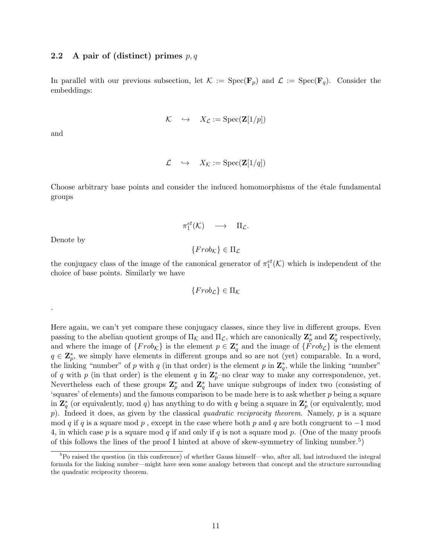### 2.2 A pair of (distinct) primes  $p, q$

In parallel with our previous subsection, let  $\mathcal{K} := \text{Spec}(\mathbf{F}_p)$  and  $\mathcal{L} := \text{Spec}(\mathbf{F}_q)$ . Consider the embeddings:

$$
\mathcal{K} \quad \hookrightarrow \quad X_{\mathcal{L}} := \text{Spec}(\mathbf{Z}[1/p])
$$

and

$$
\mathcal{L} \quad \hookrightarrow \quad X_{\mathcal{K}} := \text{Spec}(\mathbf{Z}[1/q])
$$

Choose arbitrary base points and consider the induced homomorphisms of the etale fundamental groups

$$
\pi_1^{et}(\mathcal{K}) \quad \longrightarrow \quad \Pi_{\mathcal{L}}.
$$

Denote by

.

 ${Frob<sub>K</sub>} \in \Pi<sub>L</sub>$ 

the conjugacy class of the image of the canonical generator of  $\pi_1^{et}(\mathcal{K})$  which is independent of the choice of base points. Similarly we have

$$
\{Frob_{\mathcal{L}}\} \in \Pi_{\mathcal{K}}
$$

Here again, we can't yet compare these conjugacy classes, since they live in different groups. Even passing to the abelian quotient groups of  $\Pi_{\mathcal{K}}$  and  $\Pi_{\mathcal{L}}$ , which are canonically  $\mathbf{Z}_p^*$  and  $\mathbf{Z}_q^*$  respectively, and where the image of  $\{Frob_{\mathcal{K}}\}$  is the element  $p \in \mathbb{Z}_q^*$  and the image of  $\{\overline{Frob_{\mathcal{L}}}\}$  is the element  $q \in \mathbb{Z}_p^*$ , we simply have elements in different groups and so are not (yet) comparable. In a word, the linking "number" of p with q (in that order) is the element p in  $\mathbb{Z}_q^*$ , while the linking "number" of q with p (in that order) is the element q in  $\mathbb{Z}_p^*$ -no clear way to make any correspondence, yet. Nevertheless each of these groups  $\mathbb{Z}_p^*$  and  $\mathbb{Z}_q^*$  have unique subgroups of index two (consisting of 'squares' of elements) and the famous comparison to be made here is to ask whether p being a square in  $\mathbb{Z}_q^*$  (or equivalently, mod q) has anything to do with q being a square in  $\mathbb{Z}_p^*$  (or equivalently, mod p). Indeed it does, as given by the classical quadratic reciprocity theorem. Namely,  $p$  is a square mod q if q is a square mod p, except in the case where both p and q are both congruent to  $-1$  mod 4, in which case p is a square mod q if and only if q is not a square mod p. (One of the many proofs of this follows the lines of the proof I hinted at above of skew-symmetry of linking number.<sup>5</sup>)

<sup>5</sup>Po raised the question (in this conference) of whether Gauss himself—who, after all, had introduced the integral formula for the linking number—might have seen some analogy between that concept and the structure surrounding the quadratic reciprocity theorem.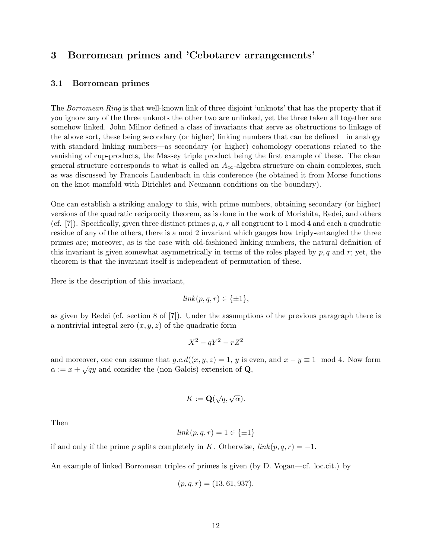# 3 Borromean primes and 'Cebotarev arrangements'

### 3.1 Borromean primes

The Borromean Ring is that well-known link of three disjoint 'unknots' that has the property that if you ignore any of the three unknots the other two are unlinked, yet the three taken all together are somehow linked. John Milnor defined a class of invariants that serve as obstructions to linkage of the above sort, these being secondary (or higher) linking numbers that can be defined—in analogy with standard linking numbers—as secondary (or higher) cohomology operations related to the vanishing of cup-products, the Massey triple product being the first example of these. The clean general structure corresponds to what is called an  $A_{\infty}$ -algebra structure on chain complexes, such as was discussed by Francois Laudenbach in this conference (he obtained it from Morse functions on the knot manifold with Dirichlet and Neumann conditions on the boundary).

One can establish a striking analogy to this, with prime numbers, obtaining secondary (or higher) versions of the quadratic reciprocity theorem, as is done in the work of Morishita, Redei, and others (cf. [7]). Specifically, given three distinct primes  $p, q, r$  all congruent to 1 mod 4 and each a quadratic residue of any of the others, there is a mod 2 invariant which gauges how triply-entangled the three primes are; moreover, as is the case with old-fashioned linking numbers, the natural definition of this invariant is given somewhat asymmetrically in terms of the roles played by  $p, q$  and  $r$ ; yet, the theorem is that the invariant itself is independent of permutation of these.

Here is the description of this invariant,

$$
link(p, q, r) \in \{\pm 1\},\
$$

as given by Redei (cf. section 8 of [7]). Under the assumptions of the previous paragraph there is a nontrivial integral zero  $(x, y, z)$  of the quadratic form

$$
X^2 - qY^2 - rZ^2
$$

and moreover, one can assume that  $g.c.d((x, y, z) = 1, y$  is even, and  $x - y \equiv 1 \mod 4$ . Now form  $\alpha := x + \sqrt{q}y$  and consider the (non-Galois) extension of **Q**,

$$
K := \mathbf{Q}(\sqrt{q}, \sqrt{\alpha}).
$$

Then

$$
link(p, q, r) = 1 \in \{\pm 1\}
$$

if and only if the prime p splits completely in K. Otherwise,  $link(p, q, r) = -1$ .

An example of linked Borromean triples of primes is given (by D. Vogan—cf. loc.cit.) by

$$
(p, q, r) = (13, 61, 937).
$$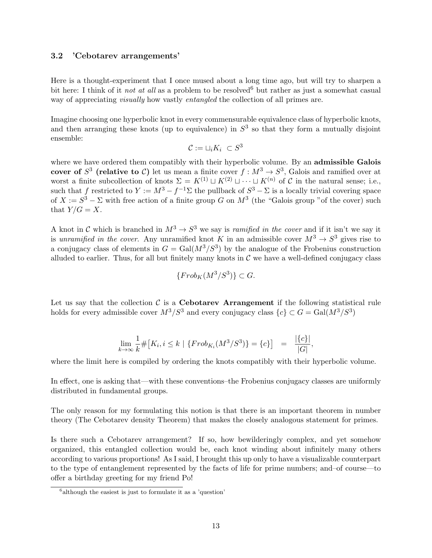## 3.2 'Cebotarev arrangements'

Here is a thought-experiment that I once mused about a long time ago, but will try to sharpen a bit here: I think of it not at all as a problem to be resolved<sup>6</sup> but rather as just a somewhat casual way of appreciating visually how vastly entangled the collection of all primes are.

Imagine choosing one hyperbolic knot in every commensurable equivalence class of hyperbolic knots, and then arranging these knots (up to equivalence) in  $S<sup>3</sup>$  so that they form a mutually disjoint ensemble:

$$
\mathcal{C}:=\sqcup_i K_i \ \subset S^3
$$

where we have ordered them compatibly with their hyperbolic volume. By an admissible Galois cover of  $S^3$  (relative to C) let us mean a finite cover  $f: M^3 \to S^3$ , Galois and ramified over at worst a finite subcollection of knots  $\Sigma = K^{(1)} \sqcup K^{(2)} \sqcup \cdots \sqcup K^{(n)}$  of C in the natural sense; i.e., such that f restricted to  $Y := M^3 - f^{-1} \Sigma$  the pullback of  $S^3 - \Sigma$  is a locally trivial covering space of  $X := S^3 - \Sigma$  with free action of a finite group G on  $M^3$  (the "Galois group "of the cover) such that  $Y/G=X$ .

A knot in C which is branched in  $M^3 \to S^3$  we say is *ramified in the cover* and if it isn't we say it is unramified in the cover. Any unramified knot K in an admissible cover  $M^3 \to S^3$  gives rise to a conjugacy class of elements in  $G = \text{Gal}(M^3/S^3)$  by the analogue of the Frobenius construction alluded to earlier. Thus, for all but finitely many knots in  $\mathcal C$  we have a well-defined conjugacy class

$$
\{Frob_K(M^3/S^3)\} \subset G.
$$

Let us say that the collection  $\mathcal C$  is a **Cebotarev Arrangement** if the following statistical rule holds for every admissible cover  $M^3/S^3$  and every conjugacy class  ${c} \subset G = \text{Gal}(M^3/S^3)$ 

$$
\lim_{k \to \infty} \frac{1}{k} \# \big[ K_i, i \le k \mid \{ Frob_{K_i}(M^3/S^3) \} = \{ c \} \big] = \frac{|\{ c \}|}{|G|},
$$

where the limit here is compiled by ordering the knots compatibly with their hyperbolic volume.

In effect, one is asking that—with these conventions–the Frobenius conjugacy classes are uniformly distributed in fundamental groups.

The only reason for my formulating this notion is that there is an important theorem in number theory (The Cebotarev density Theorem) that makes the closely analogous statement for primes.

Is there such a Cebotarev arrangement? If so, how bewilderingly complex, and yet somehow organized, this entangled collection would be, each knot winding about infinitely many others according to various proportions! As I said, I brought this up only to have a visualizable counterpart to the type of entanglement represented by the facts of life for prime numbers; and–of course—to offer a birthday greeting for my friend Po!

<sup>&</sup>lt;sup>6</sup> although the easiest is just to formulate it as a 'question'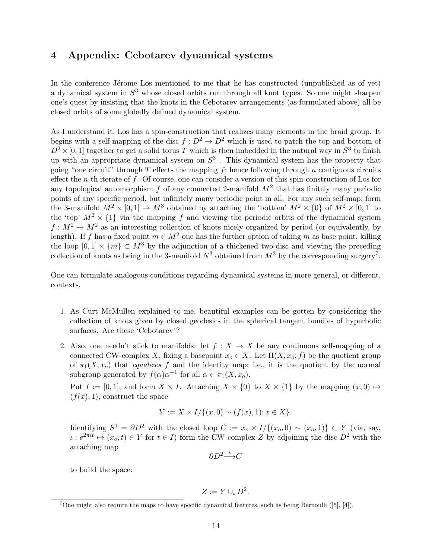## 4 Appendix: Cebotarev dynamical systems

In the conference Jérome Los mentioned to me that he has constructed (unpublished as of yet) a dynamical system in  $S^3$  whose closed orbits run through all knot types. So one might sharpen one's quest by insisting that the knots in the Cebotarev arrangements (as formulated above) all be closed orbits of some globally defined dynamical system.

As I understand it, Los has a spin-construction that realizes many elements in the braid group. It begins with a self-mapping of the disc  $f: D^2 \to D^2$  which is used to patch the top and bottom of  $D^2 \times [0,1]$  together to get a solid torus T which is then imbedded in the natural way in  $S^3$  to finish up with an appropriate dynamical system on  $S^3$ . This dynamical system has the property that going "one circuit" through  $T$  effects the mapping  $f$ ; hence following through  $n$  contiguous circuits effect the n-th iterate of f. Of course, one can consider a version of this spin-construction of Los for any topological automorphism  $f$  of any connected 2-manifold  $M^2$  that has finitely many periodic points of any specific period, but infinitely many periodic point in all. For any such self-map, form the 3-manifold  $M^2 \times [0,1] \to M^3$  obtained by attaching the 'bottom'  $M^2 \times \{0\}$  of  $M^2 \times [0,1]$  to the 'top'  $M^2 \times \{1\}$  via the mapping f and viewing the periodic orbits of the dynamical system  $f: M^2 \to M^2$  as an interesting collection of knots nicely organized by period (or equivalently, by length). If f has a fixed point  $m \in M^2$  one has the further option of taking m as base point, killing the loop  $[0, 1] \times \{m\} \subset M^3$  by the adjunction of a thickened two-disc and viewing the preceding collection of knots as being in the 3-manifold  $N^3$  obtained from  $M^3$  by the corresponding surgery<sup>7</sup>.

One can formulate analogous conditions regarding dynamical systems in more general, or different, contexts.

- 1. As Curt McMullen explained to me, beautiful examples can be gotten by considering the collection of knots given by closed geodesics in the spherical tangent bundles of hyperbolic surfaces. Are these 'Cebotarev'?
- 2. Also, one needn't stick to manifolds: let  $f : X \to X$  be any continuous self-mapping of a connected CW-complex X, fixing a basepoint  $x_o \in X$ . Let  $\Pi(X, x_o; f)$  be the quotient group of  $\pi_1(X, x_o)$  that *equalizes* f and the identity map; i.e., it is the quotient by the normal subgroup generated by  $f(\alpha)\alpha^{-1}$  for all  $\alpha \in \pi_1(X, x_o)$ .

Put  $I := [0, 1]$ , and form  $X \times I$ . Attaching  $X \times \{0\}$  to  $X \times \{1\}$  by the mapping  $(x, 0) \mapsto$  $(f(x), 1)$ , construct the space

$$
Y := X \times I / \{ (x, 0) \sim (f(x), 1); x \in X \}.
$$

Identifying  $S^1 = \partial D^2$  with the closed loop  $C := x_o \times I/\{(x_o, 0) \sim (x_o, 1)\} \subset Y$  (via, say,  $\iota : e^{2\pi i t} \mapsto (x_o, t) \in Y$  for  $t \in I$ ) form the CW complex Z by adjoining the disc  $D^2$  with the attaching map

$$
\partial D^2 \overset{\iota}{\longrightarrow} C
$$

to build the space:

$$
Z:=Y\cup_{\iota}D^2.
$$

<sup>&</sup>lt;sup>7</sup>One might also require the maps to have specific dynamical features, such as being Bernoulli ([5], [4]).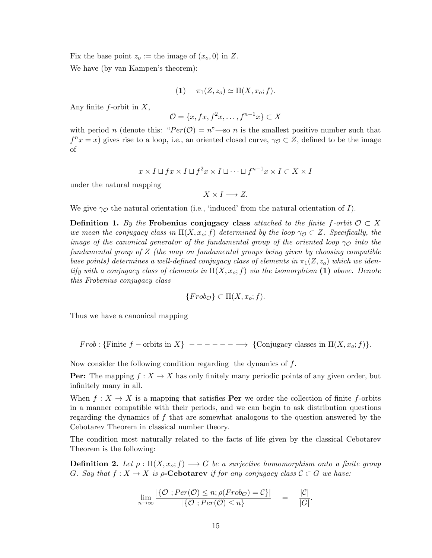Fix the base point  $z_o :=$  the image of  $(x_o, 0)$  in Z.

We have (by van Kampen's theorem):

$$
(1) \qquad \pi_1(Z, z_o) \simeq \Pi(X, x_o; f).
$$

Any finite  $f$ -orbit in  $X$ ,

$$
\mathcal{O} = \{x, fx, f^2x, \dots, f^{n-1}x\} \subset X
$$

with period n (denote this: " $Per(\mathcal{O}) = n$ " —so n is the smallest positive number such that  $f^{n}x = x$ ) gives rise to a loop, i.e., an oriented closed curve,  $\gamma_{\mathcal{O}} \subset Z$ , defined to be the image of

$$
x \times I \sqcup fx \times I \sqcup f^2 x \times I \sqcup \dots \sqcup f^{n-1} x \times I \subset X \times I
$$

under the natural mapping

 $X \times I \longrightarrow Z$ .

We give  $\gamma_{\mathcal{O}}$  the natural orientation (i.e., 'induced' from the natural orientation of I).

**Definition 1.** By the Frobenius conjugacy class attached to the finite f-orbit  $\mathcal{O} \subset X$ we mean the conjugacy class in  $\Pi(X, x_0; f)$  determined by the loop  $\gamma_{\mathcal{O}} \subset Z$ . Specifically, the image of the canonical generator of the fundamental group of the oriented loop  $\gamma_{\mathcal{O}}$  into the fundamental group of Z (the map on fundamental groups being given by choosing compatible base points) determines a well-defined conjugacy class of elements in  $\pi_1(Z, z_o)$  which we identify with a conjugacy class of elements in  $\Pi(X, x_0; f)$  via the isomorphism (1) above. Denote this Frobenius conjugacy class

$$
\{Frob_{\mathcal{O}}\} \subset \Pi(X, x_o; f).
$$

Thus we have a canonical mapping

Frob : {Finite f – orbits in X} – – – – – – → {Conjugacy classes in  $\Pi(X, x_o; f)$ }.

Now consider the following condition regarding the dynamics of f.

**Per:** The mapping  $f: X \to X$  has only finitely many periodic points of any given order, but infinitely many in all.

When  $f: X \to X$  is a mapping that satisfies **Per** we order the collection of finite f-orbits in a manner compatible with their periods, and we can begin to ask distribution questions regarding the dynamics of  $f$  that are somewhat analogous to the question answered by the Cebotarev Theorem in classical number theory.

The condition most naturally related to the facts of life given by the classical Cebotarev Theorem is the following:

**Definition 2.** Let  $\rho : \Pi(X, x_o; f) \longrightarrow G$  be a surjective homomorphism onto a finite group G. Say that  $f: X \to X$  is  $\rho$ -Cebotarev if for any conjugacy class  $C \subset G$  we have:

$$
\lim_{n \to \infty} \frac{|\{\mathcal{O} : Per(\mathcal{O}) \leq n; \rho(Frob_{\mathcal{O}}) = \mathcal{C}\}|}{|\{\mathcal{O} : Per(\mathcal{O}) \leq n\}} = \frac{|\mathcal{C}|}{|G|}
$$

.